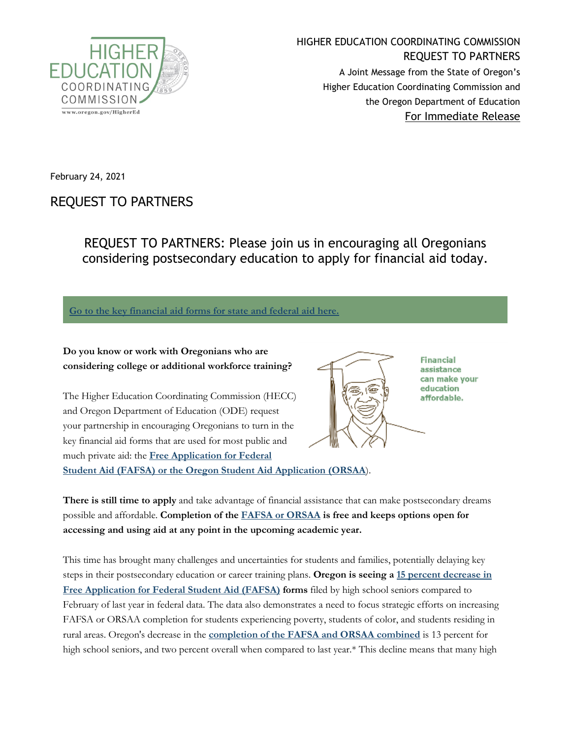

## HIGHER EDUCATION COORDINATING COMMISSION REQUEST TO PARTNERS A Joint Message from the State of Oregon's Higher Education Coordinating Commission and the Oregon Department of Education For Immediate Release

February 24, 2021

# REQUEST TO PARTNERS

REQUEST TO PARTNERS: Please join us in encouraging all Oregonians considering postsecondary education to apply for financial aid today.

**[Go to the key financial aid forms for state and federal aid here.](https://oregonstudentaid.gov/fafsa-orsaa.aspx)**

**Do you know or work with Oregonians who are considering college or additional workforce training?**

The Higher Education Coordinating Commission (HECC) and Oregon Department of Education (ODE) request your partnership in encouraging Oregonians to turn in the key financial aid forms that are used for most public and much private aid: the **[Free Application for Federal](https://oregonstudentaid.gov/fafsa-orsaa.aspx)  [Student Aid \(FAFSA\) or the Oregon Student Aid Application \(ORSAA](https://oregonstudentaid.gov/fafsa-orsaa.aspx)**).



**Financial** assistance can make your education affordable.

**There is still time to apply** and take advantage of financial assistance that can make postsecondary dreams possible and affordable. **Completion of the [FAFSA or ORSAA](https://oregonstudentaid.gov/fafsa-orsaa.aspx) is free and keeps options open for accessing and using aid at any point in the upcoming academic year.**

This time has brought many challenges and uncertainties for students and families, potentially delaying key steps in their postsecondary education or career training plans. **Oregon is seeing a [15 percent decrease in](https://formyourfuture.org/fafsa-tracker/)  [Free Application for Federal Student Aid \(FAFSA\)](https://formyourfuture.org/fafsa-tracker/) forms** filed by high school seniors compared to February of last year in federal data. The data also demonstrates a need to focus strategic efforts on increasing FAFSA or ORSAA completion for students experiencing poverty, students of color, and students residing in rural areas. Oregon's decrease in the **[completion of the FAFSA and ORSAA combined](https://www.oregon.gov/highered/research/Pages/fin-aid-application-data.aspx)** is 13 percent for high school seniors, and two percent overall when compared to last year.\* This decline means that many high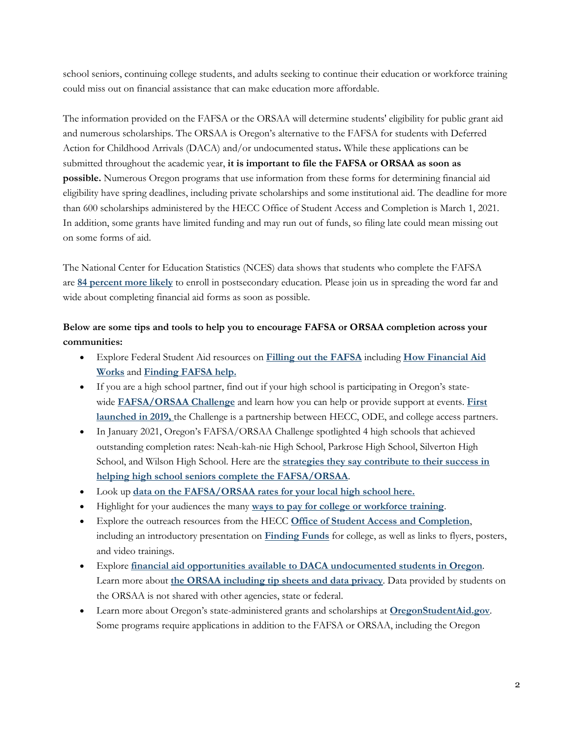school seniors, continuing college students, and adults seeking to continue their education or workforce training could miss out on financial assistance that can make education more affordable.

The information provided on the FAFSA or the ORSAA will determine students' eligibility for public grant aid and numerous scholarships. The ORSAA is Oregon's alternative to the FAFSA for students with Deferred Action for Childhood Arrivals (DACA) and/or undocumented status**.** While these applications can be submitted throughout the academic year, **it is important to file the FAFSA or ORSAA as soon as possible.** Numerous Oregon programs that use information from these forms for determining financial aid eligibility have spring deadlines, including private scholarships and some institutional aid. The deadline for more than 600 scholarships administered by the HECC Office of Student Access and Completion is March 1, 2021. In addition, some grants have limited funding and may run out of funds, so filing late could mean missing out on some forms of aid.

The National Center for Education Statistics (NCES) data shows that students who complete the FAFSA are **[84 percent more likely](https://nam02.safelinks.protection.outlook.com/?url=https%3A%2F%2Fwww.ncan.org%2Fnews%2Fnews.asp%3Fid%3D456025%26utm_medium%3Demail%26utm_source%3Dgovdelivery&data=04%7C01%7Cbeth.wigham%40ode.state.or.us%7C9bf600f83ea443e8302408d8d890523a%7Cb4f51418b26949a2935afa54bf584fc8%7C0%7C0%7C637497461673143598%7CUnknown%7CTWFpbGZsb3d8eyJWIjoiMC4wLjAwMDAiLCJQIjoiV2luMzIiLCJBTiI6Ik1haWwiLCJXVCI6Mn0%3D%7C1000&sdata=BLqxAOh8WMqw%2BauVoWjWWBwq%2BEVoGbmOzyb2BAiB%2BVM%3D&reserved=0)** to enroll in postsecondary education. Please join us in spreading the word far and wide about completing financial aid forms as soon as possible.

## **Below are some tips and tools to help you to encourage FAFSA or ORSAA completion across your communities:**

- Explore Federal Student Aid resources on **[Filling out the FAFSA](https://studentaid.gov/h/apply-for-aid/fafsa)** including **[How Financial Aid](https://studentaid.gov/h/understand-aid/how-aid-works)  [Works](https://studentaid.gov/h/understand-aid/how-aid-works)** and **[Finding FAFSA help.](https://studentaid.gov/apply-for-aid/fafsa/filling-out/help)**
- If you are a high school partner, find out if your high school is participating in Oregon's statewide **[FAFSA/ORSAA Challenge](http://oregongoestocollege.org/ccc/fafsa-orsaa)** and learn how you can help or provide support at events. **[First](https://mailchi.mp/state/press-release-fin-aid-challenge-903667?e=c49bbfd968)  [launched in 2019,](https://mailchi.mp/state/press-release-fin-aid-challenge-903667?e=c49bbfd968)** the Challenge is a partnership between HECC, ODE, and college access partners.
- In January 2021, Oregon's FAFSA/ORSAA Challenge spotlighted 4 high schools that achieved outstanding completion rates: Neah-kah-nie High School, Parkrose High School, Silverton High School, and Wilson High School. Here are the **[strategies they say contribute to their success in](https://www.oregon.gov/highered/about/Pages/FAFSA-ORSAA-promising-practices.aspx)  [helping high school seniors complete the FAFSA/ORSAA](https://www.oregon.gov/highered/about/Pages/FAFSA-ORSAA-promising-practices.aspx)**.
- Look up **[data on the FAFSA/ORSAA rates for your local high school here.](https://www.oregon.gov/highered/research/Pages/fin-aid-application-data.aspx)**
- Highlight for your audiences the many **[ways to pay for college or workforce training](https://www.oregon.gov/highered/plan-pay-for-college/Pages/pay.aspx)**.
- Explore the outreach resources from the HECC **[Office of Student Access and Completion](https://oregonstudentaid.gov/outreach.aspx)**, including an introductory presentation on **[Finding Funds](https://www.youtube.com/watch?v=poaCp-XPG18)** for college, as well as links to flyers, posters, and video trainings.
- Explore **[financial aid opportunities available to DACA undocumented students in Oregon](https://oregonstudentaid.gov/finaid-undocumented.aspx)**. Learn more about **[the ORSAA including tip sheets and data privacy](https://oregonstudentaid.gov/fafsa-orsaa.aspx)**. Data provided by students on the ORSAA is not shared with other agencies, state or federal.
- Learn more about Oregon's state-administered grants and scholarships at **[OregonStudentAid.gov](https://oregonstudentaid.gov/apply-here.aspx)**. Some programs require applications in addition to the FAFSA or ORSAA, including the Oregon